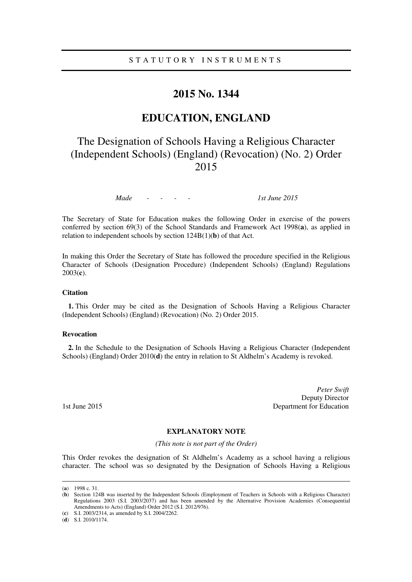## **2015 No. 1344**

## **EDUCATION, ENGLAND**

# The Designation of Schools Having a Religious Character (Independent Schools) (England) (Revocation) (No. 2) Order 2015

*Made - - - - 1st June 2015*

The Secretary of State for Education makes the following Order in exercise of the powers conferred by section 69(3) of the School Standards and Framework Act 1998(**a**), as applied in relation to independent schools by section 124B(1)(**b**) of that Act.

In making this Order the Secretary of State has followed the procedure specified in the Religious Character of Schools (Designation Procedure) (Independent Schools) (England) Regulations 2003(**c**).

### **Citation**

**1.** This Order may be cited as the Designation of Schools Having a Religious Character (Independent Schools) (England) (Revocation) (No. 2) Order 2015.

### **Revocation**

**2.** In the Schedule to the Designation of Schools Having a Religious Character (Independent Schools) (England) Order 2010(**d**) the entry in relation to St Aldhelm's Academy is revoked.

*Peter Swift*  Deputy Director 1st June 2015 **Department for Education** 

### **EXPLANATORY NOTE**

*(This note is not part of the Order)* 

This Order revokes the designation of St Aldhelm's Academy as a school having a religious character. The school was so designated by the Designation of Schools Having a Religious

<u>.</u>

<sup>(</sup>**a**) 1998 c. 31.

<sup>(</sup>**b**) Section 124B was inserted by the Independent Schools (Employment of Teachers in Schools with a Religious Character) Regulations 2003 (S.I. 2003/2037) and has been amended by the Alternative Provision Academies (Consequential Amendments to Acts) (England) Order 2012 (S.I. 2012/976).

<sup>(</sup>**c**) S.I. 2003/2314, as amended by S.I. 2004/2262.

<sup>(</sup>**d**) S.I. 2010/1174.